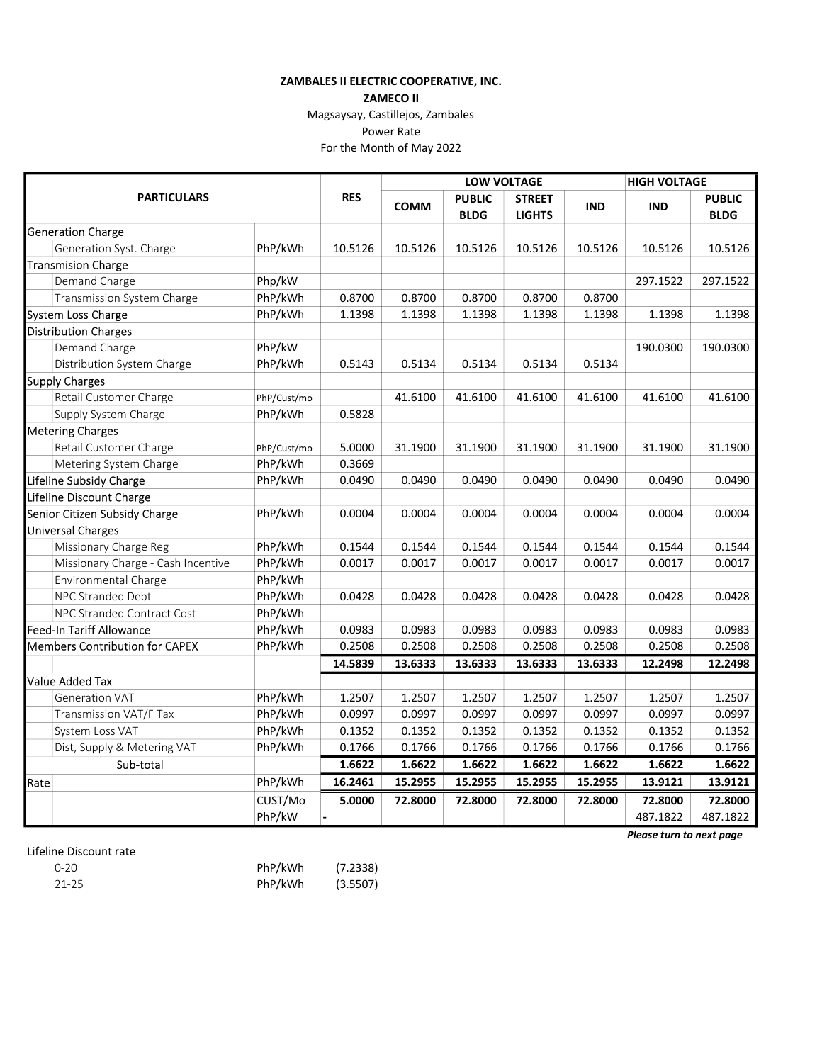## ZAMBALES II ELECTRIC COOPERATIVE, INC.

ZAMECO II

Magsaysay, Castillejos, Zambales

Power Rate

For the Month of May 2022

|                                 |                                       |             |            | <b>LOW VOLTAGE</b> |               |               |            | <b>HIGH VOLTAGE</b> |               |
|---------------------------------|---------------------------------------|-------------|------------|--------------------|---------------|---------------|------------|---------------------|---------------|
| <b>PARTICULARS</b>              |                                       |             | <b>RES</b> | <b>COMM</b>        | <b>PUBLIC</b> | <b>STREET</b> | <b>IND</b> | <b>IND</b>          | <b>PUBLIC</b> |
|                                 |                                       | <b>BLDG</b> |            |                    | <b>LIGHTS</b> | <b>BLDG</b>   |            |                     |               |
|                                 | <b>Generation Charge</b>              |             |            |                    |               |               |            |                     |               |
|                                 | Generation Syst. Charge               | PhP/kWh     | 10.5126    | 10.5126            | 10.5126       | 10.5126       | 10.5126    | 10.5126             | 10.5126       |
|                                 | <b>Transmision Charge</b>             |             |            |                    |               |               |            |                     |               |
|                                 | Demand Charge                         | Php/kW      |            |                    |               |               |            | 297.1522            | 297.1522      |
|                                 | Transmission System Charge            | PhP/kWh     | 0.8700     | 0.8700             | 0.8700        | 0.8700        | 0.8700     |                     |               |
| System Loss Charge              |                                       | PhP/kWh     | 1.1398     | 1.1398             | 1.1398        | 1.1398        | 1.1398     | 1.1398              | 1.1398        |
|                                 | <b>Distribution Charges</b>           |             |            |                    |               |               |            |                     |               |
|                                 | Demand Charge                         | PhP/kW      |            |                    |               |               |            | 190.0300            | 190.0300      |
|                                 | Distribution System Charge            | PhP/kWh     | 0.5143     | 0.5134             | 0.5134        | 0.5134        | 0.5134     |                     |               |
|                                 | Supply Charges                        |             |            |                    |               |               |            |                     |               |
|                                 | Retail Customer Charge                | PhP/Cust/mo |            | 41.6100            | 41.6100       | 41.6100       | 41.6100    | 41.6100             | 41.6100       |
|                                 | Supply System Charge                  | PhP/kWh     | 0.5828     |                    |               |               |            |                     |               |
|                                 | <b>Metering Charges</b>               |             |            |                    |               |               |            |                     |               |
|                                 | Retail Customer Charge                | PhP/Cust/mo | 5.0000     | 31.1900            | 31.1900       | 31.1900       | 31.1900    | 31.1900             | 31.1900       |
|                                 | Metering System Charge                | PhP/kWh     | 0.3669     |                    |               |               |            |                     |               |
|                                 | Lifeline Subsidy Charge               | PhP/kWh     | 0.0490     | 0.0490             | 0.0490        | 0.0490        | 0.0490     | 0.0490              | 0.0490        |
| Lifeline Discount Charge        |                                       |             |            |                    |               |               |            |                     |               |
|                                 | Senior Citizen Subsidy Charge         | PhP/kWh     | 0.0004     | 0.0004             | 0.0004        | 0.0004        | 0.0004     | 0.0004              | 0.0004        |
|                                 | <b>Universal Charges</b>              |             |            |                    |               |               |            |                     |               |
|                                 | Missionary Charge Reg                 | PhP/kWh     | 0.1544     | 0.1544             | 0.1544        | 0.1544        | 0.1544     | 0.1544              | 0.1544        |
|                                 | Missionary Charge - Cash Incentive    | PhP/kWh     | 0.0017     | 0.0017             | 0.0017        | 0.0017        | 0.0017     | 0.0017              | 0.0017        |
|                                 | Environmental Charge                  | PhP/kWh     |            |                    |               |               |            |                     |               |
|                                 | <b>NPC Stranded Debt</b>              | PhP/kWh     | 0.0428     | 0.0428             | 0.0428        | 0.0428        | 0.0428     | 0.0428              | 0.0428        |
|                                 | NPC Stranded Contract Cost            | PhP/kWh     |            |                    |               |               |            |                     |               |
| <b>Feed-In Tariff Allowance</b> |                                       | PhP/kWh     | 0.0983     | 0.0983             | 0.0983        | 0.0983        | 0.0983     | 0.0983              | 0.0983        |
|                                 | <b>Members Contribution for CAPEX</b> | PhP/kWh     | 0.2508     | 0.2508             | 0.2508        | 0.2508        | 0.2508     | 0.2508              | 0.2508        |
|                                 |                                       |             | 14.5839    | 13.6333            | 13.6333       | 13.6333       | 13.6333    | 12.2498             | 12.2498       |
|                                 | <b>Value Added Tax</b>                |             |            |                    |               |               |            |                     |               |
|                                 | <b>Generation VAT</b>                 | PhP/kWh     | 1.2507     | 1.2507             | 1.2507        | 1.2507        | 1.2507     | 1.2507              | 1.2507        |
|                                 | Transmission VAT/F Tax                | PhP/kWh     | 0.0997     | 0.0997             | 0.0997        | 0.0997        | 0.0997     | 0.0997              | 0.0997        |
|                                 | System Loss VAT                       | PhP/kWh     | 0.1352     | 0.1352             | 0.1352        | 0.1352        | 0.1352     | 0.1352              | 0.1352        |
|                                 | Dist, Supply & Metering VAT           | PhP/kWh     | 0.1766     | 0.1766             | 0.1766        | 0.1766        | 0.1766     | 0.1766              | 0.1766        |
|                                 | Sub-total                             |             | 1.6622     | 1.6622             | 1.6622        | 1.6622        | 1.6622     | 1.6622              | 1.6622        |
| Rate                            |                                       | PhP/kWh     | 16.2461    | 15.2955            | 15.2955       | 15.2955       | 15.2955    | 13.9121             | 13.9121       |
|                                 |                                       | CUST/Mo     | 5.0000     | 72.8000            | 72.8000       | 72.8000       | 72.8000    | 72.8000             | 72.8000       |
|                                 |                                       | PhP/kW      |            |                    |               |               |            | 487.1822            | 487.1822      |

## Lifeline Discount rate

| $0 - 20$  | PhP/kWh | (7.2338) |
|-----------|---------|----------|
| $21 - 25$ | PhP/kWh | (3.5507) |

Please turn to next page